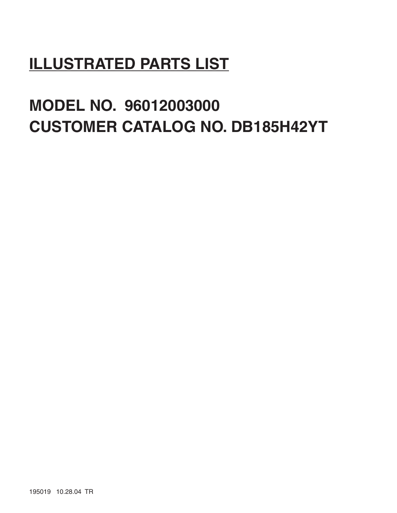# **ILLUSTRATED PARTS LIST**

# **MODEL NO. 96012003000 CUSTOMER CATALOG NO. DB185H42YT**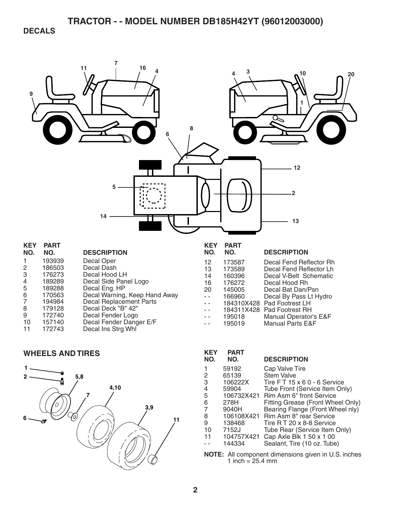**DECALS** 



| n.             | <u>гапі</u> |                                |
|----------------|-------------|--------------------------------|
| NO.            | NO.         | <b>DESCRIPTION</b>             |
|                | 193939      | Decal Oper                     |
| 2              | 186503      | Decal Dash                     |
| 3              | 176273      | Decal Hood LH                  |
| $\overline{4}$ | 189289      | Decal Side Panel Logo          |
| 5              | 189288      | Decal Eng. HP                  |
| 6              | 170563      | Decal Warning, Keep Hand Away  |
| 7              | 194984      | <b>Decal Replacement Parts</b> |
| 8              | 179128      | Decal Deck "B" 42"             |
| 9              | 172740      | Decal Fender Logo              |
| 10             | 157140      | Decal Fender Danger E/F        |
| 11             | 172743      | Decal Ins Strg Whl             |
|                |             |                                |

| <b>WHEELS AND TIRES</b> |  |  |  |
|-------------------------|--|--|--|



| 12                  | 173587     | Decal Fend Reflector Rh     |
|---------------------|------------|-----------------------------|
| 13                  | 173589     | Decal Fend Reflector Lh     |
| 14                  | 160396     | Decal V-Belt Schematic      |
| 16                  | 176272     | Decal Hood Rh               |
| 20                  | 145005     | Decal Bat Dan/Psn           |
| $\omega_{\rm{eff}}$ | 166960     | Decal By Pass Lt Hydro      |
|                     | 184310X428 | Pad Footrest LH             |
|                     | 184311X428 | Pad Footrest RH             |
| $\sim$              | 195018     | Manual Operator's E&F       |
|                     | 195019     | <b>Manual Parts E&amp;F</b> |
|                     |            |                             |
|                     |            |                             |

**DESCRIPTION** 

| KEY<br>NO. | <b>PART</b><br>NO. | <b>DESCRIPTION</b>                 |
|------------|--------------------|------------------------------------|
|            | 59192              | Cap Valve Tire                     |
| 2          | 65139              | <b>Stem Valve</b>                  |
| 3          | 106222X            | Tire $FT 15 \times 60 - 6$ Service |
| 4          | 59904              | Tube Front (Service Item Only)     |
| 5          | 106732X421         | Rim Asm 6" front Service           |
| 6          | 278H               | Fitting Grease (Front Wheel Only)  |
|            | 9040H              | Bearing Flange (Front Wheel nly)   |
| 8          | 106108X421         | Rim Asm 8" rear Service            |
| 9          | 138468             | Tire R T 20 x 8-8 Service          |
| 10         | 7152J              | Tube Rear (Service Item Only)      |
| 11         | 104757X421         | Cap Axle Blk 1 50 x 1 00           |
|            | 144334             | Sealant, Tire (10 oz. Tube)        |

**NOTE:** All component dimensions given in U.S. inches 1 inch  $= 25.4$  mm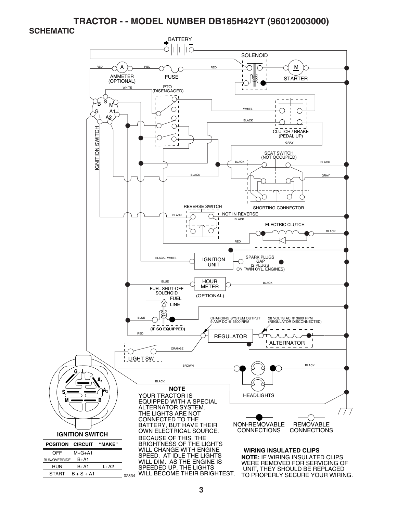**SCHEMATIC** 

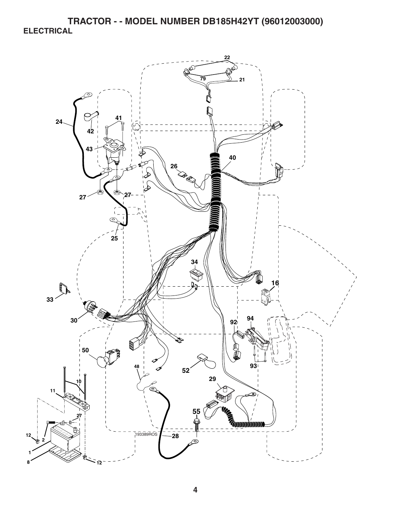**TRACTOR - - MODEL NUMBER DB185H42YT (96012003000) ELECTRICAL** 

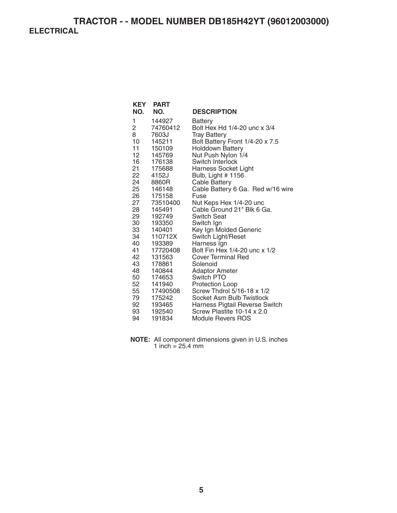| KEY<br>NO.      | <b>PART</b><br>NO. | <b>DESCRIPTION</b>                           |
|-----------------|--------------------|----------------------------------------------|
| 1               | 144927             | Battery                                      |
| 2               | 74760412           | Bolt Hex Hd 1/4-20 unc x 3/4                 |
| 8               | 7603J              | <b>Tray Battery</b>                          |
| 10              | 145211             | Bolt Battery Front 1/4-20 x 7.5              |
| 11              | 150109             | Holddown Battery                             |
| 12 <sub>2</sub> | 145769             | Nut Push Nylon 1/4                           |
| 16              | 176138             | Switch Interlock                             |
| 21              | 175688             | <b>Harness Socket Light</b>                  |
| 22              | 4152J              | Bulb, Light # 1156                           |
| 24              | 8860R              | <b>Cable Battery</b>                         |
| 25 —            | 146148             | Cable Battery 6 Ga. Red w/16 wire            |
| 26              | 175158             | Fuse                                         |
| 27              | 73510400           | Nut Keps Hex 1/4-20 unc                      |
| 28              | 145491             | Cable Ground 21" Blk 6 Ga.                   |
| 29              | 192749             | Switch Seat                                  |
| 30              | 193350             | Switch Ign                                   |
| 33              | 140401             | Key Ign Molded Generic                       |
| 34 —            | 110712X            | Switch Light/Reset                           |
| 40<br>41        | 193389<br>17720408 | Harness Ign<br>Bolt Fin Hex 1/4-20 unc x 1/2 |
| 42              | 131563             | <b>Cover Terminal Red</b>                    |
| 43              | 178861             | Solenoid                                     |
| 48              | 140844             | Adaptor Ameter                               |
| 50              | 174653             | Switch PTO                                   |
| 52              | 141940             | Protection Loop                              |
| 55              | 17490508           | Screw Thdrol 5/16-18 x 1/2                   |
| 79              | 175242             | Socket Asm Bulb Twistlock                    |
| 92              | 193465             | Harness Pigtail Reverse Switch               |
| 93              | 192540             | Screw Plastite 10-14 x 2.0                   |
| 94              | 191834             | Module Revers ROS                            |

**NOTE:** All component dimensions given in U.S. inches 1 inch = 25.4 mm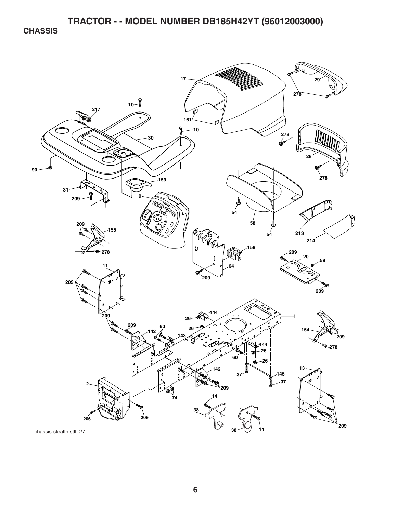**CHASSIS** 

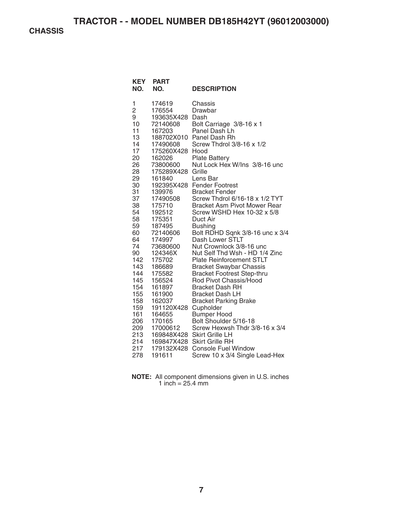**CHASSIS** 

| <b>KEY</b><br>NO.                                                                                                                                                                                                                     | <b>PART</b><br>NO.                                                                                                                                                                                                                                                                                                                                                                  | <b>DESCRIPTION</b>                                                                                                                                                                                                                                                                                                                                                                                                                                                                                                                                                                                                                                                                                                                                                                                                                                                                                                                      |
|---------------------------------------------------------------------------------------------------------------------------------------------------------------------------------------------------------------------------------------|-------------------------------------------------------------------------------------------------------------------------------------------------------------------------------------------------------------------------------------------------------------------------------------------------------------------------------------------------------------------------------------|-----------------------------------------------------------------------------------------------------------------------------------------------------------------------------------------------------------------------------------------------------------------------------------------------------------------------------------------------------------------------------------------------------------------------------------------------------------------------------------------------------------------------------------------------------------------------------------------------------------------------------------------------------------------------------------------------------------------------------------------------------------------------------------------------------------------------------------------------------------------------------------------------------------------------------------------|
| 1<br>2<br>9<br>10<br>11<br>13<br>14<br>17<br>20<br>26<br>28<br>29<br>30<br>31<br>37<br>38<br>54<br>58<br>59<br>60<br>64<br>74<br>90<br>142<br>143<br>144<br>145<br>154<br>155<br>158<br>159<br>161<br>206<br>209<br>213<br>214<br>217 | 174619<br>176554<br>193635X428 Dash<br>72140608<br>167203<br>17490608<br>175260X428 Hood<br>162026<br>73800600<br>175289X428<br>161840<br>139976<br>17490508<br>175710<br>192512<br>175351<br>187495<br>72140606<br>174997<br>73680600<br>124346X<br>175702<br>186689<br>175582<br>156524<br>161897<br>161900<br>162037<br>191120X428<br>164655<br>170165<br>17000612<br>179132X428 | Chassis<br>Drawbar<br>Bolt Carriage 3/8-16 x 1<br>Panel Dash Lh<br>188702X010 Panel Dash Rh<br>Screw Thdrol 3/8-16 x 1/2<br><b>Plate Battery</b><br>Nut Lock Hex W/Ins 3/8-16 unc<br>Grille<br>Lens Bar<br>192395X428 Fender Footrest<br><b>Bracket Fender</b><br>Screw Thdrol 6/16-18 x 1/2 TYT<br><b>Bracket Asm Pivot Mower Rear</b><br>Screw WSHD Hex 10-32 x 5/8<br>Duct Air<br><b>Bushing</b><br>Bolt RDHD Sqnk 3/8-16 unc x 3/4<br>Dash Lower STLT<br>Nut Crownlock 3/8-16 unc<br>Nut Self Thd Wsh - HD 1/4 Zinc<br><b>Plate Reinforcement STLT</b><br><b>Bracket Swaybar Chassis</b><br><b>Bracket Footrest Step-thru</b><br>Rod Pivot Chassis/Hood<br><b>Bracket Dash RH</b><br><b>Bracket Dash LH</b><br><b>Bracket Parking Brake</b><br>Cupholder<br><b>Bumper Hood</b><br>Bolt Shoulder 5/16-18<br>Screw Hexwsh Thdr 3/8-16 x 3/4<br>169848X428 Skirt Grille LH<br>169847X428 Skirt Grille RH<br><b>Console Fuel Window</b> |
| 278                                                                                                                                                                                                                                   | 191611                                                                                                                                                                                                                                                                                                                                                                              | Screw 10 x 3/4 Single Lead-Hex                                                                                                                                                                                                                                                                                                                                                                                                                                                                                                                                                                                                                                                                                                                                                                                                                                                                                                          |

**NOTE:** All component dimensions given in U.S. inches 1 inch  $= 25.4$  mm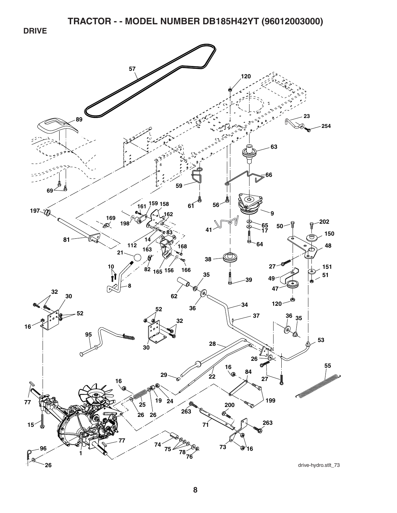**DRIVE** 

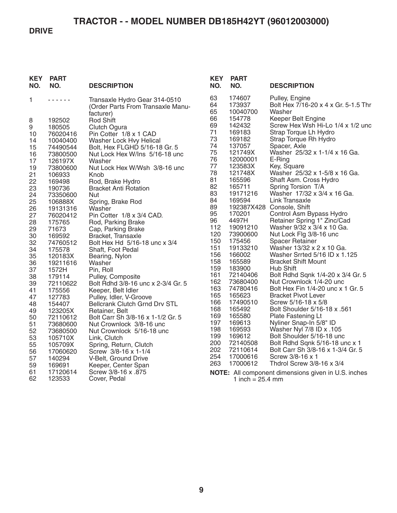#### **DRIVE**

| <b>KEY</b><br>NO.                                                                   | <b>PART</b><br>NO.                                                                                                                                       | <b>DESCRIPTION</b>                                                                                                                                                                                                                                                                                                                                                                              | <b>KEY</b><br>NO.                                                                                  | <b>PART</b><br>NO.                                                                                                                                                    | <b>DESCRIPTION</b>                                                                                                                                                                                                                                                                                                                                                                                                     |
|-------------------------------------------------------------------------------------|----------------------------------------------------------------------------------------------------------------------------------------------------------|-------------------------------------------------------------------------------------------------------------------------------------------------------------------------------------------------------------------------------------------------------------------------------------------------------------------------------------------------------------------------------------------------|----------------------------------------------------------------------------------------------------|-----------------------------------------------------------------------------------------------------------------------------------------------------------------------|------------------------------------------------------------------------------------------------------------------------------------------------------------------------------------------------------------------------------------------------------------------------------------------------------------------------------------------------------------------------------------------------------------------------|
| 1<br>8<br>9<br>10<br>14<br>15<br>16<br>17<br>19<br>21<br>22<br>23<br>24<br>25<br>26 | 192502<br>180505<br>76020416<br>10040400<br>74490544<br>73800500<br>126197X<br>73800600<br>106933<br>169498<br>190736<br>73350600<br>106888X<br>19131316 | Transaxle Hydro Gear 314-0510<br>(Order Parts From Transaxle Manu-<br>facturer)<br><b>Rod Shift</b><br>Clutch Ogura<br>Pin Cotter 1/8 x 1 CAD<br>Washer Lock Hvy Helical<br>Bolt, Hex FLGHD 5/16-18 Gr. 5<br>Nut Lock Hex W/Ins 5/16-18 unc<br>Washer<br>Nut Lock Hex W/Wsh 3/8-16 unc<br>Knob<br>Rod, Brake Hydro<br><b>Bracket Anti Rotation</b><br><b>Nut</b><br>Spring, Brake Rod<br>Washer | 63<br>64<br>65<br>66<br>69<br>71<br>73<br>74<br>75<br>76<br>77<br>78<br>81<br>82<br>83<br>84<br>89 | 174607<br>173937<br>10040700<br>154778<br>142432<br>169183<br>169182<br>137057<br>121749X<br>12000001<br>123583X<br>121748X<br>165596<br>165711<br>19171216<br>169594 | Pulley, Engine<br>Bolt Hex 7/16-20 x 4 x Gr. 5-1.5 Thr<br>Washer<br>Keeper Belt Engine<br>Screw Hex Wsh Hi-Lo 1/4 x 1/2 und<br>Strap Torque Lh Hydro<br>Strap Torque Rh Hydro<br>Spacer, Axle<br>Washer 25/32 x 1-1/4 x 16 Ga.<br>E-Ring<br>Key, Square<br>Washer 25/32 x 1-5/8 x 16 Ga.<br>Shaft Asm. Cross Hydro<br>Spring Torsion T/A<br>Washer 17/32 x 3/4 x 16 Ga.<br>Link Transaxle<br>192387X428 Console, Shift |
| 27                                                                                  | 76020412                                                                                                                                                 | Pin Cotter 1/8 x 3/4 CAD.                                                                                                                                                                                                                                                                                                                                                                       | 95                                                                                                 | 170201                                                                                                                                                                | Control Asm Bypass Hydro                                                                                                                                                                                                                                                                                                                                                                                               |
| 28                                                                                  | 175765                                                                                                                                                   | Rod, Parking Brake                                                                                                                                                                                                                                                                                                                                                                              | 96                                                                                                 | 4497H                                                                                                                                                                 | Retainer Spring 1" Zinc/Cad                                                                                                                                                                                                                                                                                                                                                                                            |
| 29                                                                                  | 71673                                                                                                                                                    | Cap, Parking Brake                                                                                                                                                                                                                                                                                                                                                                              | 112                                                                                                | 19091210                                                                                                                                                              | Washer 9/32 x 3/4 x 10 Ga.                                                                                                                                                                                                                                                                                                                                                                                             |
| 30                                                                                  | 169592                                                                                                                                                   | Bracket, Transaxle                                                                                                                                                                                                                                                                                                                                                                              | 120                                                                                                | 73900600                                                                                                                                                              | Nut Lock Flg 3/8-16 unc                                                                                                                                                                                                                                                                                                                                                                                                |
| 32                                                                                  | 74760512                                                                                                                                                 | Bolt Hex Hd 5/16-18 unc x 3/4                                                                                                                                                                                                                                                                                                                                                                   | 150                                                                                                | 175456                                                                                                                                                                | Spacer Retainer                                                                                                                                                                                                                                                                                                                                                                                                        |
| 34                                                                                  | 175578                                                                                                                                                   | Shaft, Foot Pedal                                                                                                                                                                                                                                                                                                                                                                               | 151                                                                                                | 19133210                                                                                                                                                              | Washer 13/32 x 2 x 10 Ga.                                                                                                                                                                                                                                                                                                                                                                                              |
| 35                                                                                  | 120183X                                                                                                                                                  | Bearing, Nylon                                                                                                                                                                                                                                                                                                                                                                                  | 156                                                                                                | 166002                                                                                                                                                                | Washer Srrted 5/16 ID x 1.125                                                                                                                                                                                                                                                                                                                                                                                          |
| 36                                                                                  | 19211616                                                                                                                                                 | Washer                                                                                                                                                                                                                                                                                                                                                                                          | 158                                                                                                | 165589                                                                                                                                                                | <b>Bracket Shift Mount</b>                                                                                                                                                                                                                                                                                                                                                                                             |
| 37                                                                                  | 1572H                                                                                                                                                    | Pin, Roll                                                                                                                                                                                                                                                                                                                                                                                       | 159                                                                                                | 183900                                                                                                                                                                | Hub Shift                                                                                                                                                                                                                                                                                                                                                                                                              |
| 38                                                                                  | 179114                                                                                                                                                   | Pulley, Composite                                                                                                                                                                                                                                                                                                                                                                               | 161                                                                                                | 72140406                                                                                                                                                              | Bolt Rdhd Sqnk 1/4-20 x 3/4 Gr. 5                                                                                                                                                                                                                                                                                                                                                                                      |
| 39                                                                                  | 72110622                                                                                                                                                 | Bolt Rdhd 3/8-16 unc x 2-3/4 Gr. 5                                                                                                                                                                                                                                                                                                                                                              | 162                                                                                                | 73680400                                                                                                                                                              | Nut Crownlock 1/4-20 unc                                                                                                                                                                                                                                                                                                                                                                                               |
| 41                                                                                  | 175556                                                                                                                                                   | Keeper, Belt Idler                                                                                                                                                                                                                                                                                                                                                                              | 163                                                                                                | 74780416                                                                                                                                                              | Bolt Hex Fin 1/4-20 unc x 1 Gr. 5                                                                                                                                                                                                                                                                                                                                                                                      |
| 47                                                                                  | 127783                                                                                                                                                   | Pulley, Idler, V-Groove                                                                                                                                                                                                                                                                                                                                                                         | 165                                                                                                | 165623                                                                                                                                                                | <b>Bracket Pivot Lever</b>                                                                                                                                                                                                                                                                                                                                                                                             |
| 48                                                                                  | 154407                                                                                                                                                   | <b>Bellcrank Clutch Grnd Drv STL</b>                                                                                                                                                                                                                                                                                                                                                            | 166                                                                                                | 17490510                                                                                                                                                              | Screw 5/16-18 x 5/8                                                                                                                                                                                                                                                                                                                                                                                                    |
| 49                                                                                  | 123205X                                                                                                                                                  | Retainer, Belt                                                                                                                                                                                                                                                                                                                                                                                  | 168                                                                                                | 165492                                                                                                                                                                | Bolt Shoulder 5/16-18 x .561                                                                                                                                                                                                                                                                                                                                                                                           |
| 50                                                                                  | 72110612                                                                                                                                                 | Bolt Carr Sh 3/8-16 x 1-1/2 Gr. 5                                                                                                                                                                                                                                                                                                                                                               | 169                                                                                                | 165580                                                                                                                                                                | <b>Plate Fastening Lt</b>                                                                                                                                                                                                                                                                                                                                                                                              |
| 51                                                                                  | 73680600                                                                                                                                                 | Nut Crownlock 3/8-16 unc                                                                                                                                                                                                                                                                                                                                                                        | 197                                                                                                | 169613                                                                                                                                                                | Nyliner Snap-In 5/8" ID                                                                                                                                                                                                                                                                                                                                                                                                |
| 52                                                                                  | 73680500                                                                                                                                                 | Nut Crownlock 5/16-18 unc                                                                                                                                                                                                                                                                                                                                                                       | 198                                                                                                | 169593                                                                                                                                                                | Washer Nyl 7/8 ID x .105                                                                                                                                                                                                                                                                                                                                                                                               |
| 53                                                                                  | 105710X                                                                                                                                                  | Link, Clutch                                                                                                                                                                                                                                                                                                                                                                                    | 199                                                                                                | 169612                                                                                                                                                                | Bolt Shoulder 5/16-18 unc                                                                                                                                                                                                                                                                                                                                                                                              |
| 55<br>56<br>57<br>59<br>61<br>62                                                    | 105709X<br>17060620<br>140294<br>169691<br>17120614<br>123533                                                                                            | Spring, Return, Clutch<br>Screw 3/8-16 x 1-1/4<br>V-Belt, Ground Drive<br>Keeper, Center Span<br>Screw 3/8-16 x .875<br>Cover, Pedal                                                                                                                                                                                                                                                            | 200<br>202<br>254<br>263                                                                           | 72140508<br>72110614<br>17000616<br>17000612<br>1 inch = $25.4 \text{ mm}$                                                                                            | Bolt Rdhd Sqnk 5/16-18 unc x 1<br>Bolt Carr Sh 3/8-16 x 1-3/4 Gr. 5<br>Screw 3/8-16 x 1<br>Thdrol Screw $3/8-16 \times 3/4$<br>NOTE: All component dimensions given in U.S. inches                                                                                                                                                                                                                                     |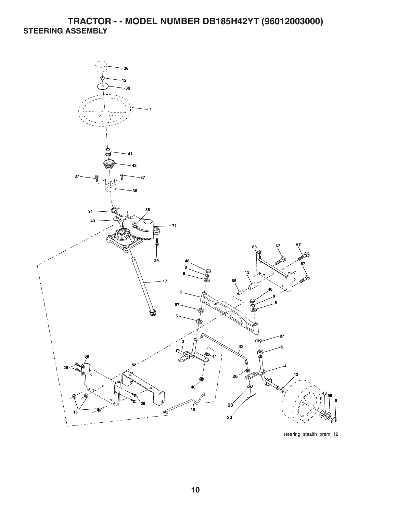### **TRACTOR - - MODEL NUMBER DB185H42YT (96012003000) STEERING ASSEMBLY**



steering\_stealth\_prem\_12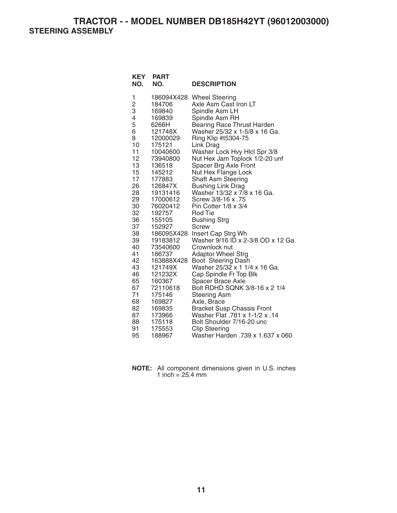**TRACTOR - - MODEL NUMBER DB185H42YT (96012003000) STEERING ASSEMBLY** 

| <b>KEY</b><br>NO.   | <b>PART</b><br>NO.   | <b>DESCRIPTION</b>                                       |
|---------------------|----------------------|----------------------------------------------------------|
| 1                   | 186094X428           | <b>Wheel Steering</b>                                    |
| $\overline{c}$<br>3 | 184706               | Axle Asm Cast Iron LT                                    |
| 4                   | 169840<br>169839     | Spindle Asm LH<br>Spindle Asm RH                         |
| 5                   | 6266H                | <b>Bearing Race Thrust Harden</b>                        |
| 6                   | 121748X              | Washer 25/32 x 1-5/8 x 16 Ga.                            |
| 8                   | 12000029             | Ring Klip #t5304-75                                      |
| 10                  | 175121               | Link Drag                                                |
| 11                  | 10040600             | Washer Lock Hvy Hlcl Spr 3/8                             |
| 12                  | 73940800             | Nut Hex Jam Toplock 1/2-20 unf                           |
| 13                  | 136518               | Spacer Brg Axle Front                                    |
| 15                  | 145212               | Nut Hex Flange Lock                                      |
| 17                  | 177883               | <b>Shaft Asm Steering</b>                                |
| 26                  | 126847X              | <b>Bushing Link Drag</b>                                 |
| 28                  | 19131416             | Washer 13/32 x 7/8 x 16 Ga.                              |
| 29                  | 17000612             | Screw 3/8-16 x .75                                       |
| 30                  | 76020412             | Pin Cotter $1/8 \times 3/4$                              |
| 32                  | 192757               | <b>Rod Tie</b>                                           |
| 36                  | 155105               | <b>Bushing Strg</b>                                      |
| 37                  | 152927               | Screw                                                    |
| 38                  | 186095X428           | Insert Cap Strg Wh<br>Washer 9/16 ID x 2-3/8 OD x 12 Ga. |
| 39<br>40            | 19183812<br>73540600 | Crownlock nut                                            |
| 41                  | 186737               | <b>Adaptor Wheel Strg</b>                                |
| 42                  | 163888X428           | Boot Steering Dash                                       |
| 43                  | 121749X              | Washer 25/32 x 1 1/4 x 16 Ga.                            |
| 46                  | 121232X              | Cap Spindle Fr Top Blk                                   |
| 65                  | 160367               | <b>Spacer Brace Axle</b>                                 |
| 67                  | 72110618             | Bolt RDHD SQNK 3/8-16 x 2 1/4                            |
| 71                  | 175146               | <b>Steering Asm</b>                                      |
| 68                  | 169827               | Axle, Brace                                              |
| 82                  | 169835               | <b>Bracket Susp Chassis Front</b>                        |
| 87                  | 173966               | Washer Flat .781 x 1-1/2 x .14                           |
| 88                  | 175118               | Bolt Shoulder 7/16-20 unc                                |
| 91                  | 175553               | <b>Clip Steering</b>                                     |
| 95                  | 188967               | Washer Harden .739 x 1.637 x 060                         |

| <b>NOTE:</b> All component dimensions given in U.S. inches |  |  |
|------------------------------------------------------------|--|--|
| 1 inch = $25.4 \text{ mm}$                                 |  |  |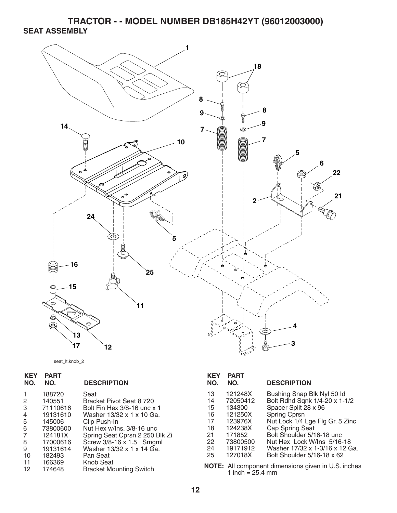**TRACTOR - - MODEL NUMBER DB185H42YT (96012003000) SEAT ASSEMBLY** 



seat\_lt.knob\_2

| <b>KEY</b><br>NO.               | <b>PART</b><br>NO.                                                                                | <b>DESCRIPTION</b>                                                                                                                                                                                                                   | <b>KEY</b><br>NO.                                  | <b>PART</b><br>NO.                                                                               | <b>DESCRIPTION</b>                                                                                                                                                                                                                                     |
|---------------------------------|---------------------------------------------------------------------------------------------------|--------------------------------------------------------------------------------------------------------------------------------------------------------------------------------------------------------------------------------------|----------------------------------------------------|--------------------------------------------------------------------------------------------------|--------------------------------------------------------------------------------------------------------------------------------------------------------------------------------------------------------------------------------------------------------|
| 2<br>3<br>4<br>5<br>6<br>8<br>9 | 188720<br>140551<br>71110616<br>19131610<br>145006<br>73800600<br>124181X<br>17000616<br>19131614 | Seat<br>Bracket Pivot Seat 8 720<br>Bolt Fin Hex 3/8-16 unc x 1<br>Washer 13/32 x 1 x 10 Ga.<br>Clip Push-In<br>Nut Hex w/Ins. 3/8-16 unc<br>Spring Seat Cprsn 2 250 Blk Zi<br>Screw 3/8-16 x 1.5 Smgml<br>Washer 13/32 x 1 x 14 Ga. | 13<br>14<br>15<br>16<br>17<br>18<br>21<br>22<br>24 | 121248X<br>72050412<br>134300<br>121250X<br>123976X<br>124238X<br>171852<br>73800500<br>19171912 | Bushing Snap Blk Nyl 50 ld<br>Bolt Rdhd Sqnk 1/4-20 x 1-1/2<br>Spacer Split 28 x 96<br>Spring Cprsn<br>Nut Lock 1/4 Lge Flg Gr. 5 Zinc<br>Cap Spring Seat<br>Bolt Shoulder 5/16-18 unc<br>Nut Hex Lock W/Ins 5/16-18<br>Washer 17/32 x 1-3/16 x 12 Ga. |
| 10<br>11<br>12                  | 182493<br>166369<br>174648                                                                        | Pan Seat<br><b>Knob Seat</b><br><b>Bracket Mounting Switch</b>                                                                                                                                                                       | 25                                                 | 127018X<br>1 inch = $25.4$ mm                                                                    | Bolt Shoulder 5/16-18 x 62<br>NOTE: All component dimensions given in U.S. inches                                                                                                                                                                      |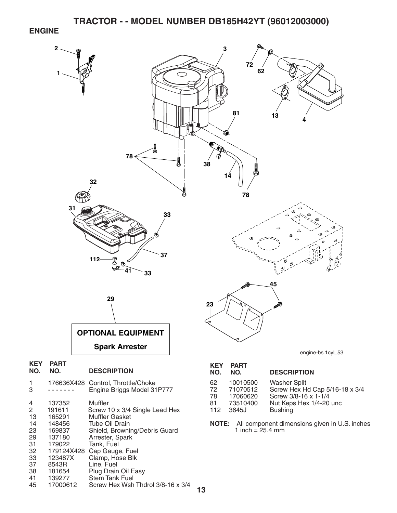#### **ENGINE**



- 33 123487X Clamp, Hose Blk<br>37 8543R Line, Fuel 37 8543R Line, Fuel<br>38 181654 Plug Drain
- 181654 Plug Drain Oil Easy
- 41 139277 Stem Tank Fuel
	- 45 17000612 Screw Hex Wsh Thdrol 3/8-16 x 3/4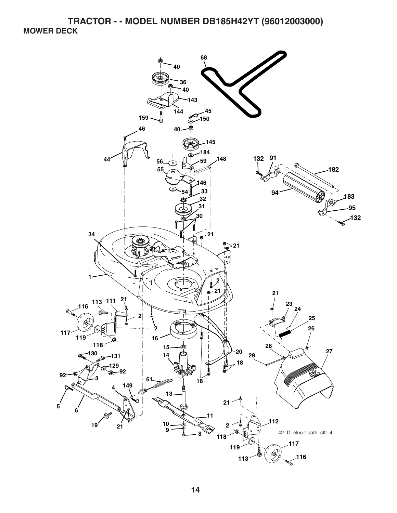**TRACTOR - - MODEL NUMBER DB185H42YT (96012003000) MOWER DECK** 

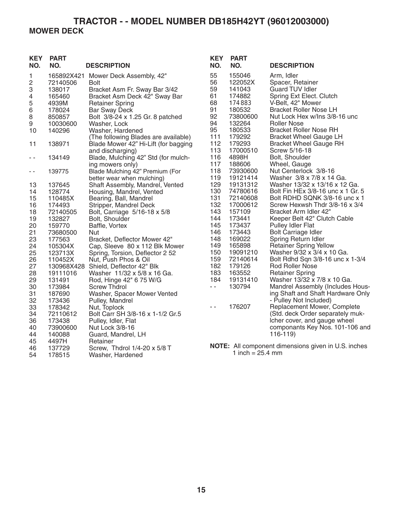## **TRACTOR - - MODEL NUMBER DB185H42YT (96012003000) MOWER DECK**

| <b>KEY</b><br>NO.                                                                                        | <b>PART</b><br>NO.                                                                                                                                                               | <b>DESCRIPTION</b>                                                                                                                                                                                                                                                                                                                                                                                                                                                                                 | <b>KEY</b><br>NO.                                                                                                      | <b>PART</b><br>NO.                                                                                                                                                         | <b>DESCRIPTION</b>                                                                                                                                                                                                                                                                                                                                                                                                                                                                                                                                                |
|----------------------------------------------------------------------------------------------------------|----------------------------------------------------------------------------------------------------------------------------------------------------------------------------------|----------------------------------------------------------------------------------------------------------------------------------------------------------------------------------------------------------------------------------------------------------------------------------------------------------------------------------------------------------------------------------------------------------------------------------------------------------------------------------------------------|------------------------------------------------------------------------------------------------------------------------|----------------------------------------------------------------------------------------------------------------------------------------------------------------------------|-------------------------------------------------------------------------------------------------------------------------------------------------------------------------------------------------------------------------------------------------------------------------------------------------------------------------------------------------------------------------------------------------------------------------------------------------------------------------------------------------------------------------------------------------------------------|
| 1<br>$\overline{\mathbf{c}}$<br>3<br>4<br>5<br>6<br>8<br>9<br>10<br>11<br>$\sim$ $-$                     | 72140506<br>138017<br>165460<br>4939M<br>178024<br>850857<br>10030600<br>140296<br>138971<br>134149                                                                              | 165892X421 Mower Deck Assembly, 42"<br><b>Bolt</b><br>Bracket Asm Fr. Sway Bar 3/42<br>Bracket Asm Deck 42" Sway Bar<br><b>Retainer Spring</b><br><b>Bar Sway Deck</b><br>Bolt 3/8-24 x 1.25 Gr. 8 patched<br>Washer, Lock<br>Washer, Hardened<br>(The following Blades are available)<br>Blade Mower 42" Hi-Lift (for bagging<br>and discharging)<br>Blade, Mulching 42" Std (for mulch-                                                                                                          | 55<br>56<br>59<br>61<br>68<br>91<br>92<br>94<br>95<br>111<br>112<br>113<br>116<br>117                                  | 155046<br>122052X<br>141043<br>174882<br>174883<br>180532<br>73800600<br>132264<br>180533<br>179292<br>179293<br>17000510<br>4898H                                         | Arm, Idler<br>Spacer, Retainer<br><b>Guard TUV Idler</b><br>Spring Ext Elect. Clutch<br>V-Belt, 42" Mower<br><b>Bracket Roller Nose LH</b><br>Nut Lock Hex w/Ins 3/8-16 unc<br><b>Roller Nose</b><br><b>Bracket Roller Nose RH</b><br><b>Bracket Wheel Gauge LH</b><br><b>Bracket Wheel Gauge RH</b><br>Screw 5/16-18<br>Bolt, Shoulder                                                                                                                                                                                                                           |
| $ -$                                                                                                     | 139775                                                                                                                                                                           | ing mowers only)<br>Blade Mulching 42" Premium (For<br>better wear when mulching)                                                                                                                                                                                                                                                                                                                                                                                                                  | 118<br>119                                                                                                             | 188606<br>73930600<br>19121414                                                                                                                                             | Wheel, Gauge<br>Nut Centerlock 3/8-16<br>Washer 3/8 x 7/8 x 14 Ga.                                                                                                                                                                                                                                                                                                                                                                                                                                                                                                |
| 13<br>14<br>15<br>16<br>18<br>19<br>20<br>21<br>23<br>24<br>25<br>26<br>27<br>28<br>29<br>30<br>31<br>32 | 137645<br>128774<br>110485X<br>174493<br>72140505<br>132827<br>159770<br>73680500<br>177563<br>105304X<br>123713X<br>110452X<br>19111016<br>131491<br>173984<br>187690<br>173436 | Shaft Assembly, Mandrel, Vented<br>Housing, Mandrel, Vented<br>Bearing, Ball, Mandrel<br>Stripper, Mandrel Deck<br>Bolt, Carriage 5/16-18 x 5/8<br>Bolt, Shoulder<br>Baffle, Vortex<br>Nut<br>Bracket, Deflector Mower 42"<br>Cap, Sleeve 80 x 112 Blk Mower<br>Spring, Torsion, Deflector 2 52<br>Nut, Push Phos & Oil<br>130968X428 Shield, Deflector 42" Blk<br>Washer 11/32 x 5/8 x 16 Ga.<br>Rod, Hinge 42" 6 75 W/G<br><b>Screw Thdrol</b><br>Washer, Spacer Mower Vented<br>Pulley, Mandrel | 129<br>130<br>131<br>132<br>143<br>144<br>145<br>146<br>148<br>149<br>150<br>159<br>182<br>183<br>184<br>$\sim$ $\sim$ | 19131312<br>74780616<br>72140608<br>17000612<br>157109<br>173441<br>173437<br>173443<br>169022<br>165898<br>19091210<br>72140614<br>179126<br>163552<br>19131410<br>130794 | Washer 13/32 x 13/16 x 12 Ga.<br>Bolt Fin HEx 3/8-16 unc x 1 Gr. 5<br>Bolt RDHD SQNK 3/8-16 unc x 1<br>Screw Hexwsh Thdr 3/8-16 x 3/4<br>Bracket Arm Idler 42"<br>Keeper Belt 42" Clutch Cable<br>Pulley Idler Flat<br><b>Bolt Carriage Idler</b><br>Spring Return Idler<br><b>Retainer Spring Yellow</b><br>Washer 9/32 x 3/4 x 10 Ga.<br>Bolt Rdhd Sqn 3/8-16 unc x 1-3/4<br><b>Rod Roller Nose</b><br><b>Retainer Spring</b><br>Washer 13/32 x 7/8 x 10 Ga.<br>Mandrel Assembly (Includes Hous-<br>ing Shaft and Shaft Hardware Only<br>- Pulley Not Included) |
| 33<br>34<br>36<br>40<br>44<br>45                                                                         | 178342<br>72110612<br>173438<br>73900600<br>140088<br>4497H                                                                                                                      | Nut, Toplock<br>Bolt Carr SH 3/8-16 x 1-1/2 Gr.5<br>Pulley, Idler, Flat<br>Nut Lock 3/8-16<br>Guard, Mandrel, LH<br>Retainer                                                                                                                                                                                                                                                                                                                                                                       | $\sim$                                                                                                                 | 176207                                                                                                                                                                     | Replacement Mower, Complete<br>(Std. deck Order separately muk-<br>Icher cover, and gauge wheel<br>componants Key Nos. 101-106 and<br>$116-119$                                                                                                                                                                                                                                                                                                                                                                                                                   |
| 46<br>54                                                                                                 | 137729<br>178515                                                                                                                                                                 | Screw, Thdrol 1/4-20 x 5/8 T<br>Washer, Hardened                                                                                                                                                                                                                                                                                                                                                                                                                                                   |                                                                                                                        | 1 inch = $25.4$ mm                                                                                                                                                         | NOTE: All component dimensions given in U.S. inches                                                                                                                                                                                                                                                                                                                                                                                                                                                                                                               |